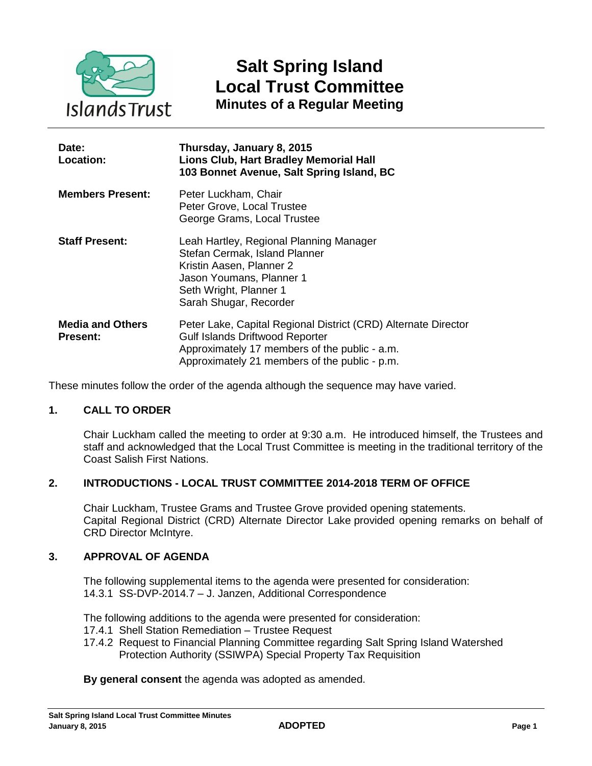

# **Salt Spring Island Local Trust Committee Minutes of a Regular Meeting**

| Date:<br>Location:                         | Thursday, January 8, 2015<br><b>Lions Club, Hart Bradley Memorial Hall</b><br>103 Bonnet Avenue, Salt Spring Island, BC                                                                                    |
|--------------------------------------------|------------------------------------------------------------------------------------------------------------------------------------------------------------------------------------------------------------|
| <b>Members Present:</b>                    | Peter Luckham, Chair<br>Peter Grove, Local Trustee<br>George Grams, Local Trustee                                                                                                                          |
| <b>Staff Present:</b>                      | Leah Hartley, Regional Planning Manager<br>Stefan Cermak, Island Planner<br>Kristin Aasen, Planner 2<br>Jason Youmans, Planner 1<br>Seth Wright, Planner 1<br>Sarah Shugar, Recorder                       |
| <b>Media and Others</b><br><b>Present:</b> | Peter Lake, Capital Regional District (CRD) Alternate Director<br><b>Gulf Islands Driftwood Reporter</b><br>Approximately 17 members of the public - a.m.<br>Approximately 21 members of the public - p.m. |

These minutes follow the order of the agenda although the sequence may have varied.

# **1. CALL TO ORDER**

Chair Luckham called the meeting to order at 9:30 a.m. He introduced himself, the Trustees and staff and acknowledged that the Local Trust Committee is meeting in the traditional territory of the Coast Salish First Nations.

### **2. INTRODUCTIONS - LOCAL TRUST COMMITTEE 2014-2018 TERM OF OFFICE**

Chair Luckham, Trustee Grams and Trustee Grove provided opening statements. Capital Regional District (CRD) Alternate Director Lake provided opening remarks on behalf of CRD Director McIntyre.

#### **3. APPROVAL OF AGENDA**

The following supplemental items to the agenda were presented for consideration: 14.3.1 SS-DVP-2014.7 – J. Janzen, Additional Correspondence

The following additions to the agenda were presented for consideration:

- 17.4.1 Shell Station Remediation Trustee Request
- 17.4.2 Request to Financial Planning Committee regarding Salt Spring Island Watershed Protection Authority (SSIWPA) Special Property Tax Requisition

**By general consent** the agenda was adopted as amended.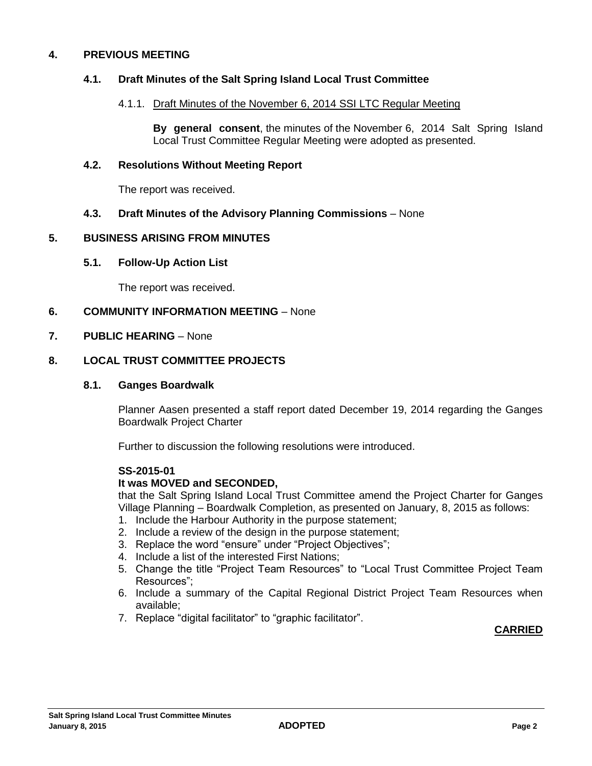### **4. PREVIOUS MEETING**

### **4.1. Draft Minutes of the Salt Spring Island Local Trust Committee**

#### 4.1.1. Draft Minutes of the November 6, 2014 SSI LTC Regular Meeting

**By general consent**, the minutes of the November 6, 2014 Salt Spring Island Local Trust Committee Regular Meeting were adopted as presented.

### **4.2. Resolutions Without Meeting Report**

The report was received.

### **4.3. Draft Minutes of the Advisory Planning Commissions** – None

#### **5. BUSINESS ARISING FROM MINUTES**

#### **5.1. Follow-Up Action List**

The report was received.

#### **6. COMMUNITY INFORMATION MEETING** – None

#### **7. PUBLIC HEARING** – None

#### **8. LOCAL TRUST COMMITTEE PROJECTS**

#### **8.1. Ganges Boardwalk**

Planner Aasen presented a staff report dated December 19, 2014 regarding the Ganges Boardwalk Project Charter

Further to discussion the following resolutions were introduced.

#### **SS-2015-01**

#### **It was MOVED and SECONDED,**

that the Salt Spring Island Local Trust Committee amend the Project Charter for Ganges Village Planning – Boardwalk Completion, as presented on January, 8, 2015 as follows:

- 1. Include the Harbour Authority in the purpose statement;
- 2. Include a review of the design in the purpose statement;
- 3. Replace the word "ensure" under "Project Objectives";
- 4. Include a list of the interested First Nations;
- 5. Change the title "Project Team Resources" to "Local Trust Committee Project Team Resources";
- 6. Include a summary of the Capital Regional District Project Team Resources when available;
- 7. Replace "digital facilitator" to "graphic facilitator".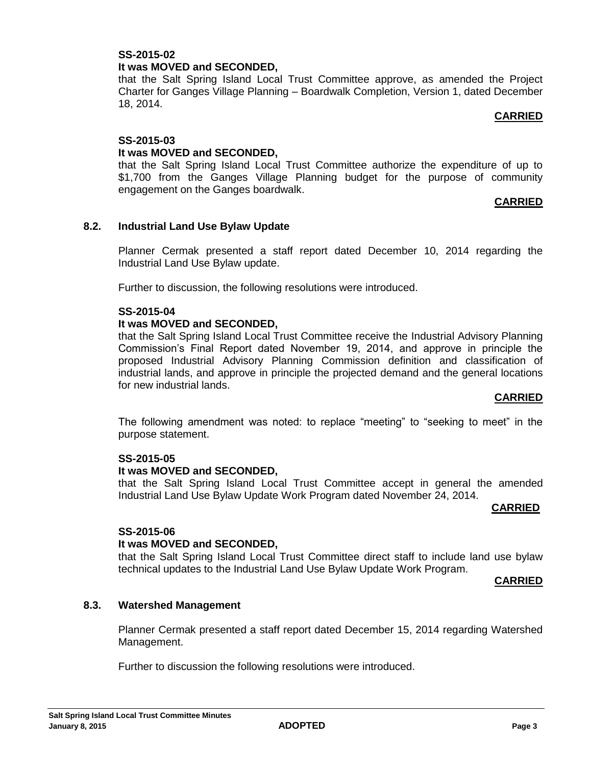### **SS-2015-02 It was MOVED and SECONDED,**

that the Salt Spring Island Local Trust Committee approve, as amended the Project Charter for Ganges Village Planning – Boardwalk Completion, Version 1, dated December 18, 2014.

### **CARRIED**

### **SS-2015-03**

### **It was MOVED and SECONDED,**

that the Salt Spring Island Local Trust Committee authorize the expenditure of up to \$1,700 from the Ganges Village Planning budget for the purpose of community engagement on the Ganges boardwalk.

### **CARRIED**

### **8.2. Industrial Land Use Bylaw Update**

Planner Cermak presented a staff report dated December 10, 2014 regarding the Industrial Land Use Bylaw update.

Further to discussion, the following resolutions were introduced.

#### **SS-2015-04**

### **It was MOVED and SECONDED,**

that the Salt Spring Island Local Trust Committee receive the Industrial Advisory Planning Commission's Final Report dated November 19, 2014, and approve in principle the proposed Industrial Advisory Planning Commission definition and classification of industrial lands, and approve in principle the projected demand and the general locations for new industrial lands.

#### **CARRIED**

The following amendment was noted: to replace "meeting" to "seeking to meet" in the purpose statement.

#### **SS-2015-05**

#### **It was MOVED and SECONDED,**

that the Salt Spring Island Local Trust Committee accept in general the amended Industrial Land Use Bylaw Update Work Program dated November 24, 2014.

#### **CARRIED**

#### **SS-2015-06**

#### **It was MOVED and SECONDED,**

that the Salt Spring Island Local Trust Committee direct staff to include land use bylaw technical updates to the Industrial Land Use Bylaw Update Work Program.

#### **CARRIED**

### **8.3. Watershed Management**

Planner Cermak presented a staff report dated December 15, 2014 regarding Watershed Management.

Further to discussion the following resolutions were introduced.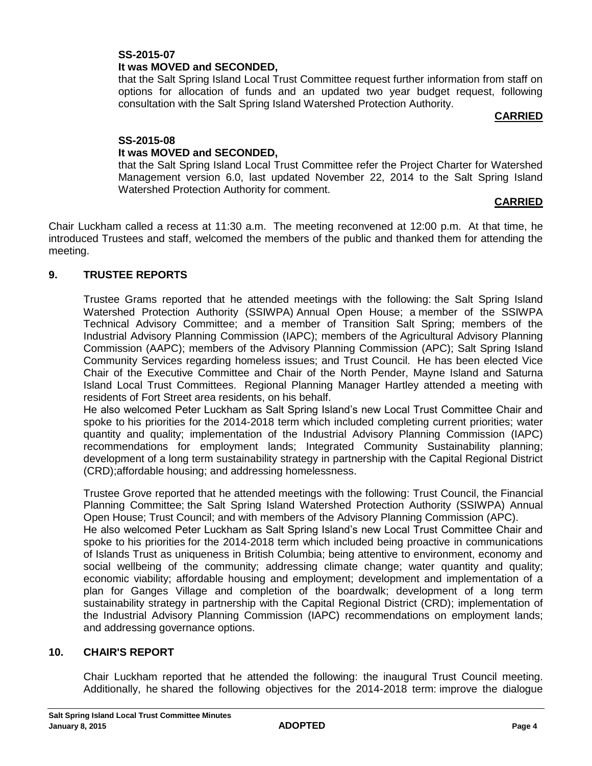# **SS-2015-07 It was MOVED and SECONDED,**

that the Salt Spring Island Local Trust Committee request further information from staff on options for allocation of funds and an updated two year budget request, following consultation with the Salt Spring Island Watershed Protection Authority.

#### **CARRIED**

# **SS-2015-08**

### **It was MOVED and SECONDED,**

that the Salt Spring Island Local Trust Committee refer the Project Charter for Watershed Management version 6.0, last updated November 22, 2014 to the Salt Spring Island Watershed Protection Authority for comment.

## **CARRIED**

Chair Luckham called a recess at 11:30 a.m. The meeting reconvened at 12:00 p.m. At that time, he introduced Trustees and staff, welcomed the members of the public and thanked them for attending the meeting.

### **9. TRUSTEE REPORTS**

Trustee Grams reported that he attended meetings with the following: the Salt Spring Island Watershed Protection Authority (SSIWPA) Annual Open House; a member of the SSIWPA Technical Advisory Committee; and a member of Transition Salt Spring; members of the Industrial Advisory Planning Commission (IAPC); members of the Agricultural Advisory Planning Commission (AAPC); members of the Advisory Planning Commission (APC); Salt Spring Island Community Services regarding homeless issues; and Trust Council. He has been elected Vice Chair of the Executive Committee and Chair of the North Pender, Mayne Island and Saturna Island Local Trust Committees. Regional Planning Manager Hartley attended a meeting with residents of Fort Street area residents, on his behalf.

He also welcomed Peter Luckham as Salt Spring Island's new Local Trust Committee Chair and spoke to his priorities for the 2014-2018 term which included completing current priorities; water quantity and quality; implementation of the Industrial Advisory Planning Commission (IAPC) recommendations for employment lands; Integrated Community Sustainability planning; development of a long term sustainability strategy in partnership with the Capital Regional District (CRD);affordable housing; and addressing homelessness.

Trustee Grove reported that he attended meetings with the following: Trust Council, the Financial Planning Committee; the Salt Spring Island Watershed Protection Authority (SSIWPA) Annual Open House; Trust Council; and with members of the Advisory Planning Commission (APC). He also welcomed Peter Luckham as Salt Spring Island's new Local Trust Committee Chair and spoke to his priorities for the 2014-2018 term which included being proactive in communications of Islands Trust as uniqueness in British Columbia; being attentive to environment, economy and social wellbeing of the community; addressing climate change; water quantity and quality; economic viability; affordable housing and employment; development and implementation of a

plan for Ganges Village and completion of the boardwalk; development of a long term sustainability strategy in partnership with the Capital Regional District (CRD); implementation of the Industrial Advisory Planning Commission (IAPC) recommendations on employment lands; and addressing governance options.

### **10. CHAIR'S REPORT**

Chair Luckham reported that he attended the following: the inaugural Trust Council meeting. Additionally, he shared the following objectives for the 2014-2018 term: improve the dialogue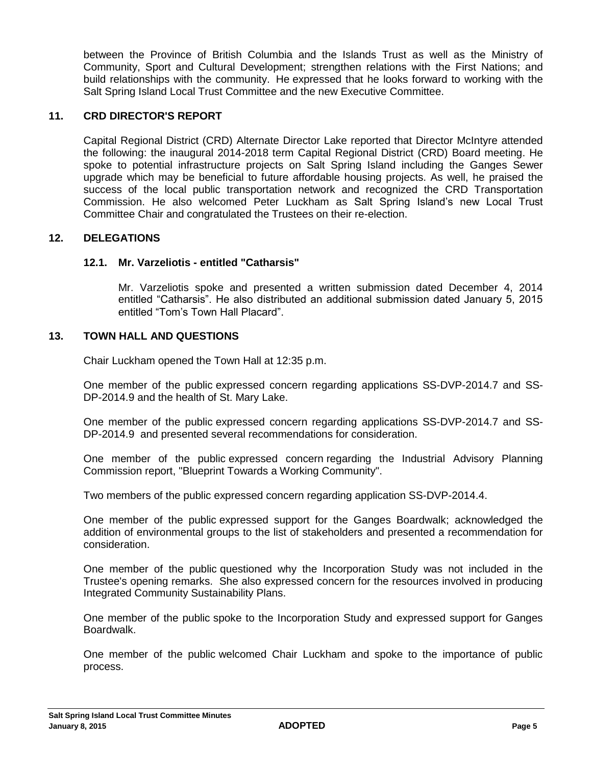between the Province of British Columbia and the Islands Trust as well as the Ministry of Community, Sport and Cultural Development; strengthen relations with the First Nations; and build relationships with the community. He expressed that he looks forward to working with the Salt Spring Island Local Trust Committee and the new Executive Committee.

### **11. CRD DIRECTOR'S REPORT**

Capital Regional District (CRD) Alternate Director Lake reported that Director McIntyre attended the following: the inaugural 2014-2018 term Capital Regional District (CRD) Board meeting. He spoke to potential infrastructure projects on Salt Spring Island including the Ganges Sewer upgrade which may be beneficial to future affordable housing projects. As well, he praised the success of the local public transportation network and recognized the CRD Transportation Commission. He also welcomed Peter Luckham as Salt Spring Island's new Local Trust Committee Chair and congratulated the Trustees on their re-election.

### **12. DELEGATIONS**

#### **12.1. Mr. Varzeliotis - entitled "Catharsis"**

Mr. Varzeliotis spoke and presented a written submission dated December 4, 2014 entitled "Catharsis". He also distributed an additional submission dated January 5, 2015 entitled "Tom's Town Hall Placard".

### **13. TOWN HALL AND QUESTIONS**

Chair Luckham opened the Town Hall at 12:35 p.m.

One member of the public expressed concern regarding applications SS-DVP-2014.7 and SS-DP-2014.9 and the health of St. Mary Lake.

One member of the public expressed concern regarding applications SS-DVP-2014.7 and SS-DP-2014.9 and presented several recommendations for consideration.

One member of the public expressed concern regarding the Industrial Advisory Planning Commission report, "Blueprint Towards a Working Community".

Two members of the public expressed concern regarding application SS-DVP-2014.4.

One member of the public expressed support for the Ganges Boardwalk; acknowledged the addition of environmental groups to the list of stakeholders and presented a recommendation for consideration.

One member of the public questioned why the Incorporation Study was not included in the Trustee's opening remarks. She also expressed concern for the resources involved in producing Integrated Community Sustainability Plans.

One member of the public spoke to the Incorporation Study and expressed support for Ganges Boardwalk.

One member of the public welcomed Chair Luckham and spoke to the importance of public process.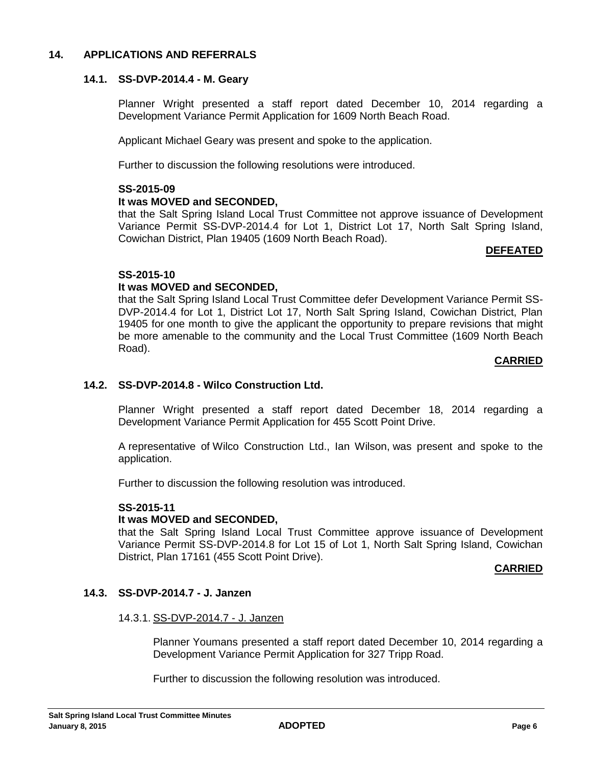### **14. APPLICATIONS AND REFERRALS**

#### **14.1. SS-DVP-2014.4 - M. Geary**

Planner Wright presented a staff report dated December 10, 2014 regarding a Development Variance Permit Application for 1609 North Beach Road.

Applicant Michael Geary was present and spoke to the application.

Further to discussion the following resolutions were introduced.

#### **SS-2015-09**

#### **It was MOVED and SECONDED,**

that the Salt Spring Island Local Trust Committee not approve issuance of Development Variance Permit SS-DVP-2014.4 for Lot 1, District Lot 17, North Salt Spring Island, Cowichan District, Plan 19405 (1609 North Beach Road).

#### **DEFEATED**

### **SS-2015-10**

### **It was MOVED and SECONDED,**

that the Salt Spring Island Local Trust Committee defer Development Variance Permit SS-DVP-2014.4 for Lot 1, District Lot 17, North Salt Spring Island, Cowichan District, Plan 19405 for one month to give the applicant the opportunity to prepare revisions that might be more amenable to the community and the Local Trust Committee (1609 North Beach Road).

#### **CARRIED**

# **14.2. SS-DVP-2014.8 - Wilco Construction Ltd.**

Planner Wright presented a staff report dated December 18, 2014 regarding a Development Variance Permit Application for 455 Scott Point Drive.

A representative of Wilco Construction Ltd., Ian Wilson, was present and spoke to the application.

Further to discussion the following resolution was introduced.

#### **SS-2015-11**

#### **It was MOVED and SECONDED,**

that the Salt Spring Island Local Trust Committee approve issuance of Development Variance Permit SS-DVP-2014.8 for Lot 15 of Lot 1, North Salt Spring Island, Cowichan District, Plan 17161 (455 Scott Point Drive).

#### **CARRIED**

### **14.3. SS-DVP-2014.7 - J. Janzen**

#### 14.3.1. SS-DVP-2014.7 - J. Janzen

Planner Youmans presented a staff report dated December 10, 2014 regarding a Development Variance Permit Application for 327 Tripp Road.

Further to discussion the following resolution was introduced.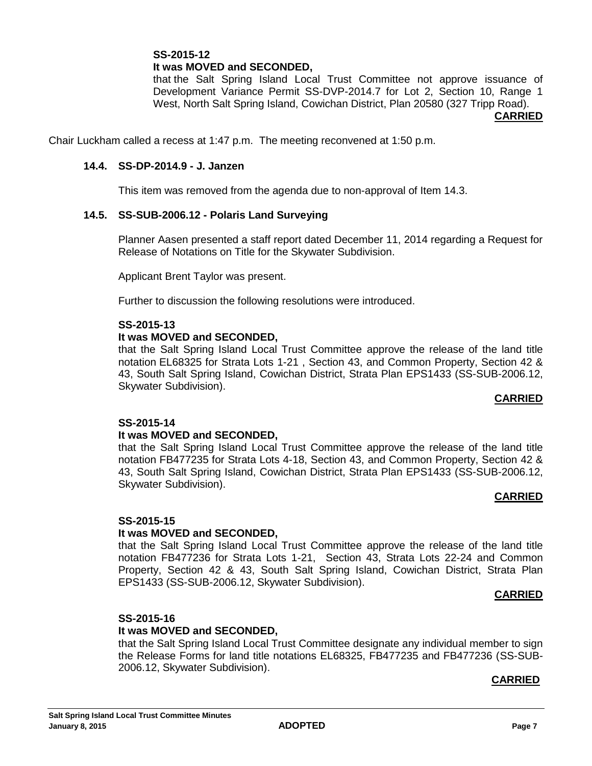## **SS-2015-12 It was MOVED and SECONDED,**

that the Salt Spring Island Local Trust Committee not approve issuance of Development Variance Permit SS-DVP-2014.7 for Lot 2, Section 10, Range 1 West, North Salt Spring Island, Cowichan District, Plan 20580 (327 Tripp Road).

#### **CARRIED**

Chair Luckham called a recess at 1:47 p.m. The meeting reconvened at 1:50 p.m.

#### **14.4. SS-DP-2014.9 - J. Janzen**

This item was removed from the agenda due to non-approval of Item 14.3.

#### **14.5. SS-SUB-2006.12 - Polaris Land Surveying**

Planner Aasen presented a staff report dated December 11, 2014 regarding a Request for Release of Notations on Title for the Skywater Subdivision.

Applicant Brent Taylor was present.

Further to discussion the following resolutions were introduced.

#### **SS-2015-13**

#### **It was MOVED and SECONDED,**

that the Salt Spring Island Local Trust Committee approve the release of the land title notation EL68325 for Strata Lots 1-21 , Section 43, and Common Property, Section 42 & 43, South Salt Spring Island, Cowichan District, Strata Plan EPS1433 (SS-SUB-2006.12, Skywater Subdivision).

#### **CARRIED**

#### **SS-2015-14**

#### **It was MOVED and SECONDED,**

that the Salt Spring Island Local Trust Committee approve the release of the land title notation FB477235 for Strata Lots 4-18, Section 43, and Common Property, Section 42 & 43, South Salt Spring Island, Cowichan District, Strata Plan EPS1433 (SS-SUB-2006.12, Skywater Subdivision).

#### **CARRIED**

### **SS-2015-15**

#### **It was MOVED and SECONDED,**

that the Salt Spring Island Local Trust Committee approve the release of the land title notation FB477236 for Strata Lots 1-21, Section 43, Strata Lots 22-24 and Common Property, Section 42 & 43, South Salt Spring Island, Cowichan District, Strata Plan EPS1433 (SS-SUB-2006.12, Skywater Subdivision).

#### **CARRIED**

### **SS-2015-16**

#### **It was MOVED and SECONDED,**

that the Salt Spring Island Local Trust Committee designate any individual member to sign the Release Forms for land title notations EL68325, FB477235 and FB477236 (SS-SUB-2006.12, Skywater Subdivision).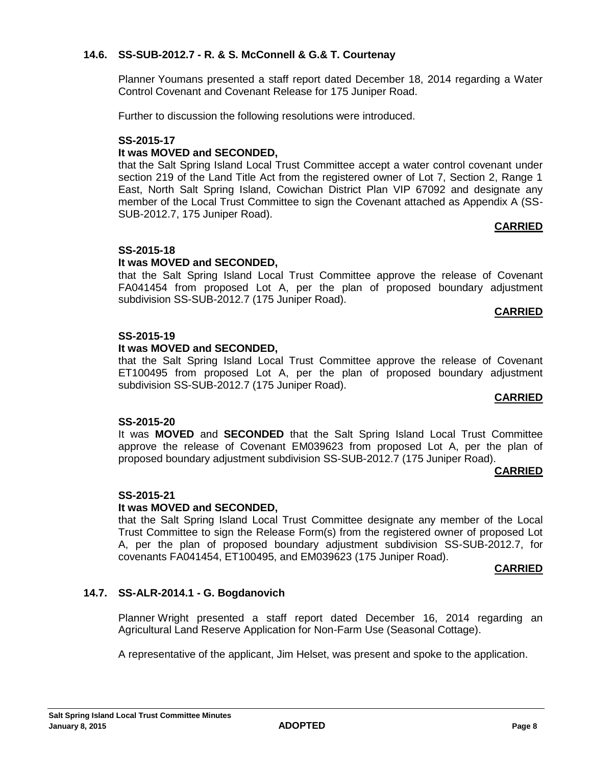### **14.6. SS-SUB-2012.7 - R. & S. McConnell & G.& T. Courtenay**

Planner Youmans presented a staff report dated December 18, 2014 regarding a Water Control Covenant and Covenant Release for 175 Juniper Road.

Further to discussion the following resolutions were introduced.

#### **SS-2015-17 It was MOVED and SECONDED,**

that the Salt Spring Island Local Trust Committee accept a water control covenant under section 219 of the Land Title Act from the registered owner of Lot 7, Section 2, Range 1 East, North Salt Spring Island, Cowichan District Plan VIP 67092 and designate any member of the Local Trust Committee to sign the Covenant attached as Appendix A (SS-SUB-2012.7, 175 Juniper Road).

### **CARRIED**

### **SS-2015-18**

#### **It was MOVED and SECONDED,**

that the Salt Spring Island Local Trust Committee approve the release of Covenant FA041454 from proposed Lot A, per the plan of proposed boundary adjustment subdivision SS-SUB-2012.7 (175 Juniper Road).

#### **CARRIED**

### **SS-2015-19**

#### **It was MOVED and SECONDED,**

that the Salt Spring Island Local Trust Committee approve the release of Covenant ET100495 from proposed Lot A, per the plan of proposed boundary adjustment subdivision SS-SUB-2012.7 (175 Juniper Road).

#### **CARRIED**

#### **SS-2015-20**

It was **MOVED** and **SECONDED** that the Salt Spring Island Local Trust Committee approve the release of Covenant EM039623 from proposed Lot A, per the plan of proposed boundary adjustment subdivision SS-SUB-2012.7 (175 Juniper Road).

#### **CARRIED**

#### **SS-2015-21**

#### **It was MOVED and SECONDED,**

that the Salt Spring Island Local Trust Committee designate any member of the Local Trust Committee to sign the Release Form(s) from the registered owner of proposed Lot A, per the plan of proposed boundary adjustment subdivision SS-SUB-2012.7, for covenants FA041454, ET100495, and EM039623 (175 Juniper Road).

#### **CARRIED**

#### **14.7. SS-ALR-2014.1 - G. Bogdanovich**

Planner Wright presented a staff report dated December 16, 2014 regarding an Agricultural Land Reserve Application for Non-Farm Use (Seasonal Cottage).

A representative of the applicant, Jim Helset, was present and spoke to the application.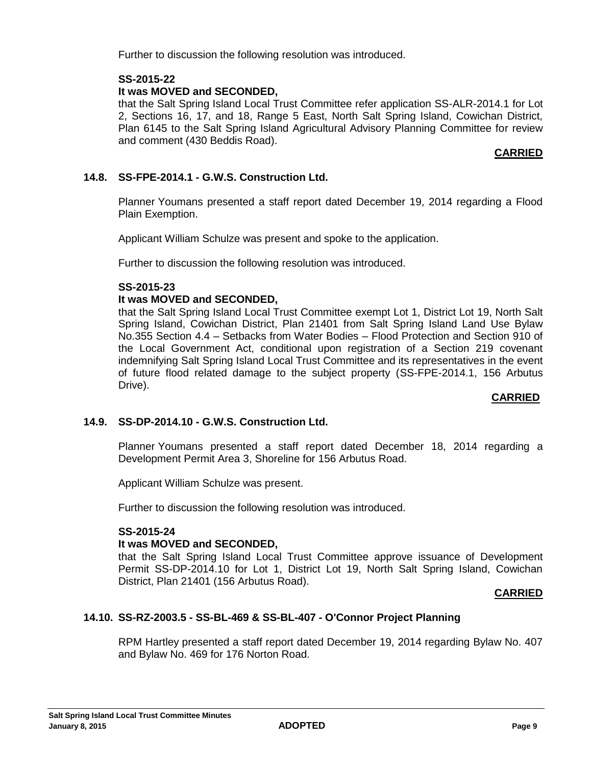Further to discussion the following resolution was introduced.

### **SS-2015-22**

### **It was MOVED and SECONDED,**

that the Salt Spring Island Local Trust Committee refer application SS-ALR-2014.1 for Lot 2, Sections 16, 17, and 18, Range 5 East, North Salt Spring Island, Cowichan District, Plan 6145 to the Salt Spring Island Agricultural Advisory Planning Committee for review and comment (430 Beddis Road).

### **CARRIED**

# **14.8. SS-FPE-2014.1 - G.W.S. Construction Ltd.**

Planner Youmans presented a staff report dated December 19, 2014 regarding a Flood Plain Exemption.

Applicant William Schulze was present and spoke to the application.

Further to discussion the following resolution was introduced.

### **SS-2015-23**

### **It was MOVED and SECONDED,**

that the Salt Spring Island Local Trust Committee exempt Lot 1, District Lot 19, North Salt Spring Island, Cowichan District, Plan 21401 from Salt Spring Island Land Use Bylaw No.355 Section 4.4 – Setbacks from Water Bodies – Flood Protection and Section 910 of the Local Government Act, conditional upon registration of a Section 219 covenant indemnifying Salt Spring Island Local Trust Committee and its representatives in the event of future flood related damage to the subject property (SS-FPE-2014.1, 156 Arbutus Drive).

#### **CARRIED**

### **14.9. SS-DP-2014.10 - G.W.S. Construction Ltd.**

Planner Youmans presented a staff report dated December 18, 2014 regarding a Development Permit Area 3, Shoreline for 156 Arbutus Road.

Applicant William Schulze was present.

Further to discussion the following resolution was introduced.

### **SS-2015-24**

### **It was MOVED and SECONDED,**

that the Salt Spring Island Local Trust Committee approve issuance of Development Permit SS-DP-2014.10 for Lot 1, District Lot 19, North Salt Spring Island, Cowichan District, Plan 21401 (156 Arbutus Road).

### **CARRIED**

### **14.10. SS-RZ-2003.5 - SS-BL-469 & SS-BL-407 - O'Connor Project Planning**

RPM Hartley presented a staff report dated December 19, 2014 regarding Bylaw No. 407 and Bylaw No. 469 for 176 Norton Road.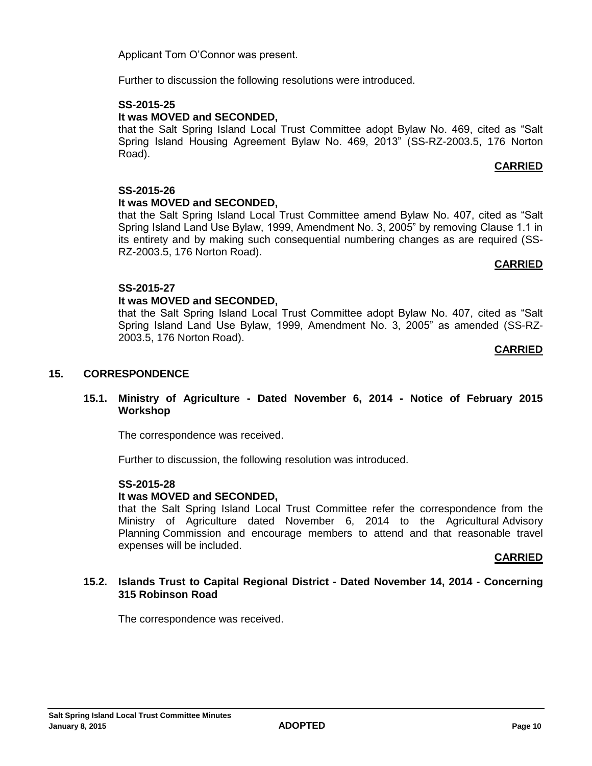Applicant Tom O'Connor was present.

Further to discussion the following resolutions were introduced.

# **SS-2015-25**

# **It was MOVED and SECONDED,**

that the Salt Spring Island Local Trust Committee adopt Bylaw No. 469, cited as "Salt Spring Island Housing Agreement Bylaw No. 469, 2013" (SS-RZ-2003.5, 176 Norton Road).

# **CARRIED**

# **SS-2015-26**

# **It was MOVED and SECONDED,**

that the Salt Spring Island Local Trust Committee amend Bylaw No. 407, cited as "Salt Spring Island Land Use Bylaw, 1999, Amendment No. 3, 2005" by removing Clause 1.1 in its entirety and by making such consequential numbering changes as are required (SS-RZ-2003.5, 176 Norton Road).

### **CARRIED**

# **SS-2015-27**

# **It was MOVED and SECONDED,**

that the Salt Spring Island Local Trust Committee adopt Bylaw No. 407, cited as "Salt Spring Island Land Use Bylaw, 1999, Amendment No. 3, 2005" as amended (SS-RZ-2003.5, 176 Norton Road).

### **CARRIED**

# **15. CORRESPONDENCE**

### **15.1. Ministry of Agriculture - Dated November 6, 2014 - Notice of February 2015 Workshop**

The correspondence was received.

Further to discussion, the following resolution was introduced.

### **SS-2015-28**

### **It was MOVED and SECONDED,**

that the Salt Spring Island Local Trust Committee refer the correspondence from the Ministry of Agriculture dated November 6, 2014 to the Agricultural Advisory Planning Commission and encourage members to attend and that reasonable travel expenses will be included.

### **CARRIED**

### **15.2. Islands Trust to Capital Regional District - Dated November 14, 2014 - Concerning 315 Robinson Road**

The correspondence was received.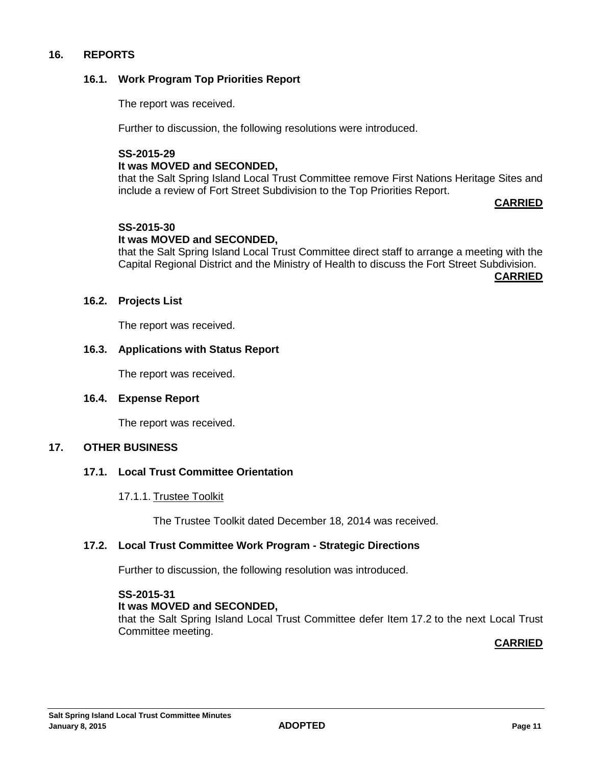### **16. REPORTS**

### **16.1. Work Program Top Priorities Report**

The report was received.

Further to discussion, the following resolutions were introduced.

# **SS-2015-29 It was MOVED and SECONDED,**

that the Salt Spring Island Local Trust Committee remove First Nations Heritage Sites and include a review of Fort Street Subdivision to the Top Priorities Report.

#### **CARRIED**

### **SS-2015-30**

### **It was MOVED and SECONDED,**

that the Salt Spring Island Local Trust Committee direct staff to arrange a meeting with the Capital Regional District and the Ministry of Health to discuss the Fort Street Subdivision.

**CARRIED**

#### **16.2. Projects List**

The report was received.

#### **16.3. Applications with Status Report**

The report was received.

#### **16.4. Expense Report**

The report was received.

#### **17. OTHER BUSINESS**

#### **17.1. Local Trust Committee Orientation**

17.1.1. Trustee Toolkit

The Trustee Toolkit dated December 18, 2014 was received.

#### **17.2. Local Trust Committee Work Program - Strategic Directions**

Further to discussion, the following resolution was introduced.

#### **SS-2015-31 It was MOVED and SECONDED,** that the Salt Spring Island Local Trust Committee defer Item 17.2 to the next Local Trust Committee meeting.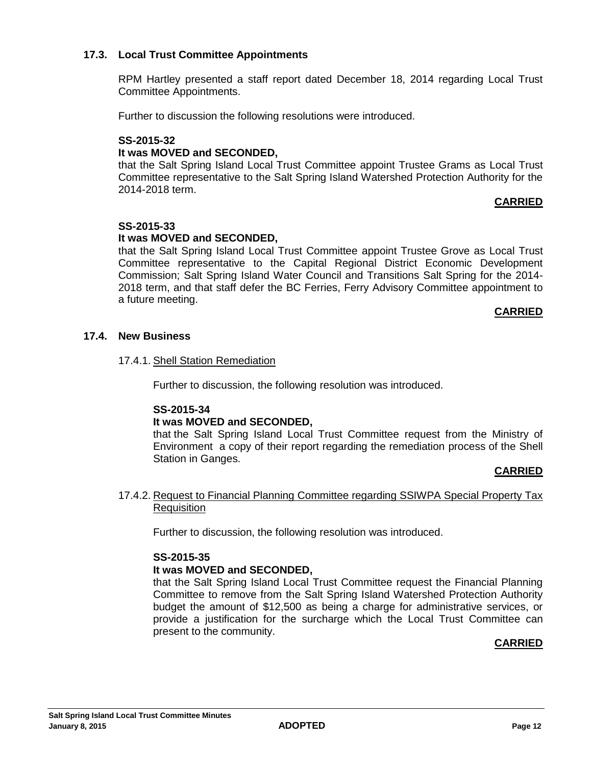### **17.3. Local Trust Committee Appointments**

RPM Hartley presented a staff report dated December 18, 2014 regarding Local Trust Committee Appointments.

Further to discussion the following resolutions were introduced.

# **SS-2015-32 It was MOVED and SECONDED,**

that the Salt Spring Island Local Trust Committee appoint Trustee Grams as Local Trust Committee representative to the Salt Spring Island Watershed Protection Authority for the 2014-2018 term.

### **CARRIED**

### **SS-2015-33**

### **It was MOVED and SECONDED,**

that the Salt Spring Island Local Trust Committee appoint Trustee Grove as Local Trust Committee representative to the Capital Regional District Economic Development Commission; Salt Spring Island Water Council and Transitions Salt Spring for the 2014- 2018 term, and that staff defer the BC Ferries, Ferry Advisory Committee appointment to a future meeting.

#### **CARRIED**

### **17.4. New Business**

### 17.4.1. Shell Station Remediation

Further to discussion, the following resolution was introduced.

#### **SS-2015-34**

### **It was MOVED and SECONDED,**

that the Salt Spring Island Local Trust Committee request from the Ministry of Environment a copy of their report regarding the remediation process of the Shell Station in Ganges.

### **CARRIED**

### 17.4.2. Request to Financial Planning Committee regarding SSIWPA Special Property Tax **Requisition**

Further to discussion, the following resolution was introduced.

### **SS-2015-35**

#### **It was MOVED and SECONDED,**

that the Salt Spring Island Local Trust Committee request the Financial Planning Committee to remove from the Salt Spring Island Watershed Protection Authority budget the amount of \$12,500 as being a charge for administrative services, or provide a justification for the surcharge which the Local Trust Committee can present to the community.